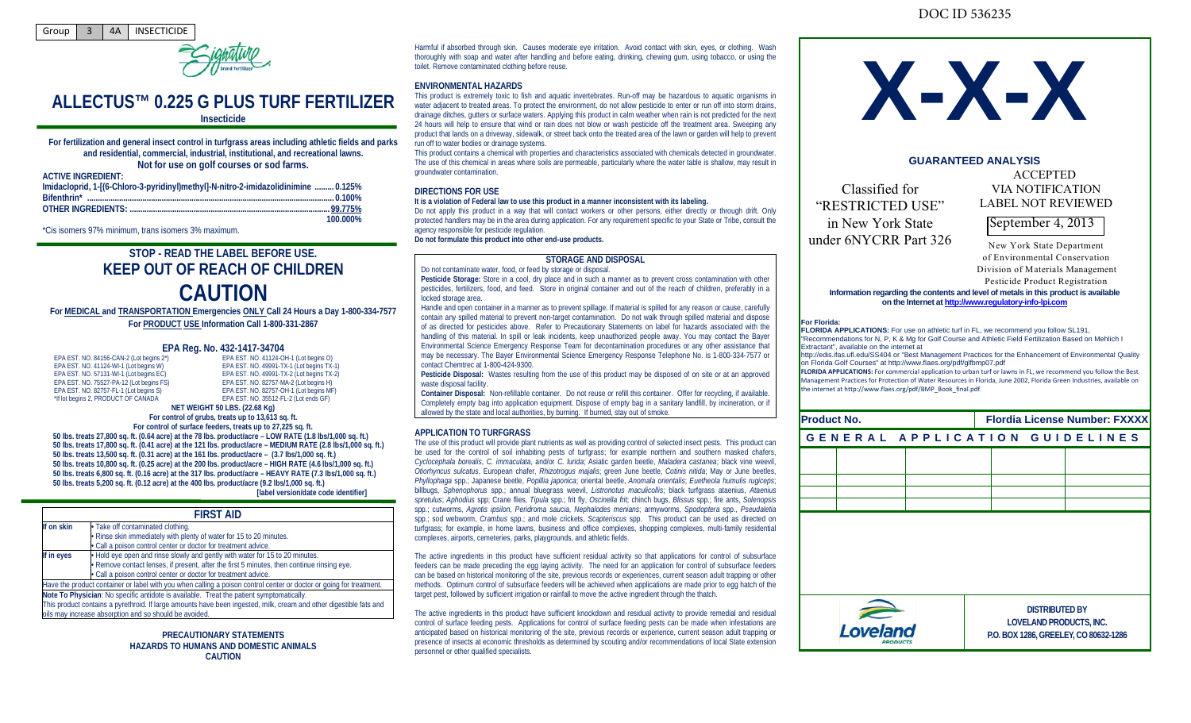



# **ALLECTUS™ 0.225 G PLUS TURF FERTILIZER**

# **Insecticide**

**For fertilization and general insect control in turfgrass areas including athletic fields and parks and residential, commercial, industrial, institutional, and recreational lawns. Not for use on golf courses or sod farms.**

**ACTIVE INGREDIENT:** 

| AVIIVE INVINEDIENT.                                                                |          |
|------------------------------------------------------------------------------------|----------|
| Imidacloprid, 1-[(6-Chloro-3-pyridinyl)methyl]-N-nitro-2-imidazolidinimine  0.125% |          |
|                                                                                    |          |
|                                                                                    |          |
|                                                                                    | 100.000% |

\*Cis isomers 97% minimum, trans isomers 3% maximum.

# **STOP - READ THE LABEL BEFORE USE. KEEP OUT OF REACH OF CHILDREN CAUTION**

**For MEDICAL and TRANSPORTATION Emergencies ONLY Call 24 Hours a Day 1-800-334-7577 For PRODUCT USE Information Call 1-800-331-2867**

#### **EPA Reg. No. 432-1417-34704** EPA EST. NO. 41124-OH-1 (Lot begins O)

EPA EST. NO. 49991-TX-1 (Lot begins TX-1) EPA EST. NO. 49991-TX-2 (Lot begins TX-2) EPA EST. NO. 82757-MA-2 (Lot begins H) EPA EST. NO. 82757-OH-1 (Lot begins MF) EPA EST. NO. 35512-FL-2 (Lot ends GF)

| EPA EST. NO. 84156-CAN-2 (Lot begins 2*) |  |
|------------------------------------------|--|
| EPA EST. NO. 41124-WI-1 (Lot begins W)   |  |
| EPA EST. NO. 57131-WI-1 (Lot begins EC)  |  |
| EPA EST. NO. 75527-PA-12 (Lot begins FS) |  |
| EPA EST. NO. 82757-FL-1 (Lot begins S)   |  |
| *If lot begins 2, PRODUCT OF CANADA      |  |
|                                          |  |

**NET WEIGHT 50 LBS. (22.68 Kg) For control of grubs, treats up to 13,613 sq. ft.**

**For control of surface feeders, treats up to 27,225 sq. ft. 50 lbs. treats 27,800 sq. ft. (0.64 acre) at the 78 lbs. product/acre – LOW RATE (1.8 lbs/1,000 sq. ft.) 50 lbs. treats 17,800 sq. ft. (0.41 acre) at the 121 lbs. product/acre – MEDIUM RATE (2.8 lbs/1,000 sq. ft.) 50 lbs. treats 13,500 sq. ft. (0.31 acre) at the 161 lbs. product/acre – (3.7 lbs/1,000 sq. ft.) 50 lbs. treats 10,800 sq. ft. (0.25 acre) at the 200 lbs. product/acre – HIGH RATE (4.6 lbs/1,000 sq. ft.) 50 lbs. treats 6,800 sq. ft. (0.16 acre) at the 317 lbs. product/acre – HEAVY RATE (7.3 lbs/1,000 sq. ft.) 50 lbs. treats 5,200 sq. ft. (0.12 acre) at the 400 lbs. product/acre (9.2 lbs/1,000 sq. ft.) [label version/date code identifier]**

| <b>FIRST AID</b> |                                                                                                                                                                                                                                                                          |  |
|------------------|--------------------------------------------------------------------------------------------------------------------------------------------------------------------------------------------------------------------------------------------------------------------------|--|
| If on skin       | • Take off contaminated clothing.<br>· Rinse skin immediately with plenty of water for 15 to 20 minutes.<br>· Call a poison control center or doctor for treatment advice.                                                                                               |  |
| If in eyes       | . Hold eye open and rinse slowly and gently with water for 15 to 20 minutes.<br>• Remove contact lenses, if present, after the first 5 minutes, then continue rinsing eye.<br>• Call a poison control center or doctor for treatment advice.                             |  |
|                  | Have the product container or label with you when calling a poison control center or doctor or going for treatment.                                                                                                                                                      |  |
|                  | Note To Physician: No specific antidote is available. Treat the patient symptomatically.<br>This product contains a pyrethroid. If large amounts have been ingested, milk, cream and other digestible fats and<br>oils may increase absorption and so should be avoided. |  |

**PRECAUTIONARY STATEMENTS HAZARDS TO HUMANS AND DOMESTIC ANIMALS CAUTION**

Harmful if absorbed through skin. Causes moderate eye irritation. Avoid contact with skin, eyes, or clothing. Wash thoroughly with soap and water after handling and before eating, drinking, chewing gum, using tobacco, or using the toilet. Remove contaminated clothing before reuse.

#### **ENVIRONMENTAL HAZARDS**

This product is extremely toxic to fish and aquatic invertebrates. Run-off may be hazardous to aquatic organisms in water adjacent to treated areas. To protect the environment, do not allow pesticide to enter or run off into storm drains, drainage ditches, gutters or surface waters. Applying this product in calm weather when rain is not predicted for the next 24 hours will help to ensure that wind or rain does not blow or wash pesticide off the treatment area. Sweeping any product that lands on a driveway, sidewalk, or street back onto the treated area of the lawn or garden will help to prevent run off to water bodies or drainage systems.

This product contains a chemical with properties and characteristics associated with chemicals detected in groundwater. The use of this chemical in areas where soils are permeable, particularly where the water table is shallow, may result in groundwater contamination.

### **DIRECTIONS FOR USE**

#### **It is a violation of Federal law to use this product in a manner inconsistent with its labeling.**

Do not apply this product in a way that will contact workers or other persons, either directly or through drift. Only protected handlers may be in the area during application. For any requirement specific to your State or Tribe, consult the agency responsible for pesticide regulation. **Do not formulate this product into other end-use products.**

# **STORAGE AND DISPOSAL**

Do not contaminate water, food, or feed by storage or disposal.

**Pesticide Storage:** Store in a cool, dry place and in such a manner as to prevent cross contamination with other pesticides, fertilizers, food, and feed. Store in original container and out of the reach of children, preferably in a locked storage area.

Handle and open container in a manner as to prevent spillage. If material is spilled for any reason or cause, carefully contain any spilled material to prevent non-target contamination. Do not walk through spilled material and dispose of as directed for pesticides above. Refer to Precautionary Statements on label for hazards associated with the handling of this material. In spill or leak incidents, keep unauthorized people away. You may contact the Bayer Environmental Science Emergency Response Team for decontamination procedures or any other assistance that may be necessary. The Bayer Environmental Science Emergency Response Telephone No. is 1-800-334-7577 or contact Chemtrec at 1-800-424-9300.

**Pesticide Disposal:** Wastes resulting from the use of this product may be disposed of on site or at an approved waste disposal facility.

**Container Disposal:** Non-refillable container. Do not reuse or refill this container. Offer for recycling, if available. Completely empty bag into application equipment. Dispose of empty bag in a sanitary landfill, by incineration, or if allowed by the state and local authorities, by burning. If burned, stay out of smoke.

#### **APPLICATION TO TURFGRASS**

The use of this product will provide plant nutrients as well as providing control of selected insect pests. This product can be used for the control of soil inhabiting pests of turfgrass; for example northern and southern masked chafers, *Cyclocephala borealis*, *C. immaculata*, and/or *C. lurida*; Asiatic garden beetle, *Maladera castanea*; black vine weevil, *Otiorhyncus sulcatus*, European chafer, *Rhizotrogus majalis*; green June beetle, *Cotinis nitida*; May or June beetles, *Phyllophaga* spp.; Japanese beetle, *Popillia japonica*; oriental beetle, *Anomala orientalis*; *Euetheola humulis rugiceps*; billbugs, *Sphenophorus* spp.; annual bluegrass weevil, *Listronotus maculicollis*; black turfgrass ataenius, *Ataenius spretulus*; *Aphodius* spp; Crane flies, *Tipula* spp.; frit fly, *Oscinella frit*; chinch bugs, *Blissus* spp.; fire ants, *Solenopsis* spp.; cutworms, *Agrotis ipsilon*, *Peridroma saucia*, *Nephalodes menians*; armyworms, *Spodoptera* spp., *Pseudaletia* spp.; sod webworm, *Crambus* spp.; and mole crickets, *Scapteriscus* spp. This product can be used as directed on turfgrass; for example, in home lawns, business and office complexes, shopping complexes, multi-family residential complexes, airports, cemeteries, parks, playgrounds, and athletic fields.

The active ingredients in this product have sufficient residual activity so that applications for control of subsurface feeders can be made preceding the egg laying activity. The need for an application for control of subsurface feeders can be based on historical monitoring of the site, previous records or experiences, current season adult trapping or other methods. Optimum control of subsurface feeders will be achieved when applications are made prior to egg hatch of the target pest, followed by sufficient irrigation or rainfall to move the active ingredient through the thatch.

The active ingredients in this product have sufficient knockdown and residual activity to provide remedial and residual control of surface feeding pests. Applications for control of surface feeding pests can be made when infestations are anticipated based on historical monitoring of the site, previous records or experience, current season adult trapping or presence of insects at economic thresholds as determined by scouting and/or recommendations of local State extension personnel or other qualified specialists.



## **GUARANTEED ANALYSIS**

Classified for "RESTRICTED USE" in New York State under 6NYCRR Part 326

ACCEPTED VIA NOTIFICATION LABEL NOT REVIEWED

September 4, 2013

New York State Department of Environmental Conservation Division of Materials Management

Pesticide Product Registration

#### **Information regarding the contents and level of metals in this product is available on the Internet a[t http://www.regulatory-info-lpi.com](http://www.regulatory-info-lpi.com/)**

#### **For Florida:**

**FLORIDA APPLICATIONS:** For use on athletic turf in FL, we recommend you follow SL191, "Recommendations for N, P, K & Mg for Golf Course and Athletic Field Fertilization Based on Mehlich I Extractant", available on the internet at

http://edis.ifas.ufl.edu/SS404 or "Best Management Practices for the Enhancement of Environmental Quality on Florida Golf Courses" at http://www.flaes.org/pdf/glfbmp07.pdf

**FLORIDA APPLICATIONS:** For commercial application to urban turf or lawns in FL, we recommend you follow the Best Management Practices for Protection of Water Resources in Florida, June 2002, Florida Green Industries, available on the internet at http://www.flaes.org/pdf/BMP\_Book\_final.pdf.

| <b>Product No.</b>             |  | <b>Flordia License Number: FXXXX</b> |                       |                                       |
|--------------------------------|--|--------------------------------------|-----------------------|---------------------------------------|
| GENERAL APPLICATION GUIDELINES |  |                                      |                       |                                       |
|                                |  |                                      |                       |                                       |
|                                |  |                                      |                       |                                       |
|                                |  |                                      |                       |                                       |
|                                |  |                                      |                       |                                       |
|                                |  |                                      |                       |                                       |
|                                |  |                                      |                       |                                       |
|                                |  |                                      |                       |                                       |
|                                |  |                                      |                       |                                       |
|                                |  |                                      | <b>DISTRIBUTED BY</b> | LOVELAND PRODUCTS, INC.               |
| Loveland                       |  |                                      |                       | P.O. BOX 1286, GREELEY, CO 80632-1286 |

# DOC ID 536235